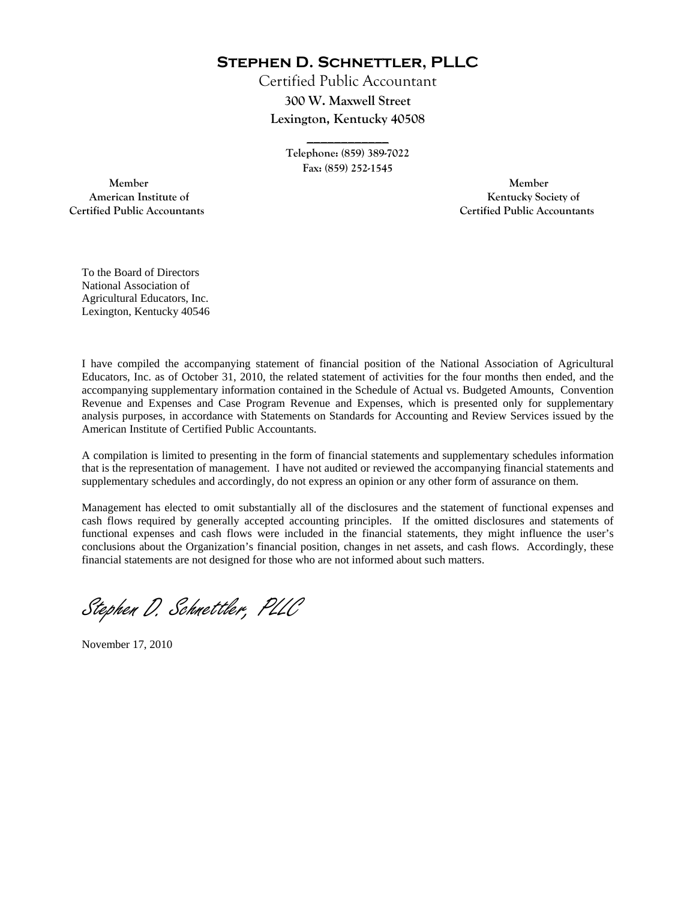**Stephen D. Schnettler, PLLC**

Certified Public Accountant **300 W. Maxwell Street Lexington, Kentucky 40508** 

> **Telephone: (859) 389-7022 Fax: (859) 252-1545**

**\_\_\_\_\_\_\_\_\_\_\_\_** 

 **Member Member Certified Public Accountants Certified Public Accountants** 

American Institute of **Kentucky Society of** 

To the Board of Directors National Association of Agricultural Educators, Inc. Lexington, Kentucky 40546

I have compiled the accompanying statement of financial position of the National Association of Agricultural Educators, Inc. as of October 31, 2010, the related statement of activities for the four months then ended, and the accompanying supplementary information contained in the Schedule of Actual vs. Budgeted Amounts, Convention Revenue and Expenses and Case Program Revenue and Expenses, which is presented only for supplementary analysis purposes, in accordance with Statements on Standards for Accounting and Review Services issued by the American Institute of Certified Public Accountants.

A compilation is limited to presenting in the form of financial statements and supplementary schedules information that is the representation of management. I have not audited or reviewed the accompanying financial statements and supplementary schedules and accordingly, do not express an opinion or any other form of assurance on them.

Management has elected to omit substantially all of the disclosures and the statement of functional expenses and cash flows required by generally accepted accounting principles. If the omitted disclosures and statements of functional expenses and cash flows were included in the financial statements, they might influence the user's conclusions about the Organization's financial position, changes in net assets, and cash flows. Accordingly, these financial statements are not designed for those who are not informed about such matters.

Stephen D. Schnettler, PLLC

November 17, 2010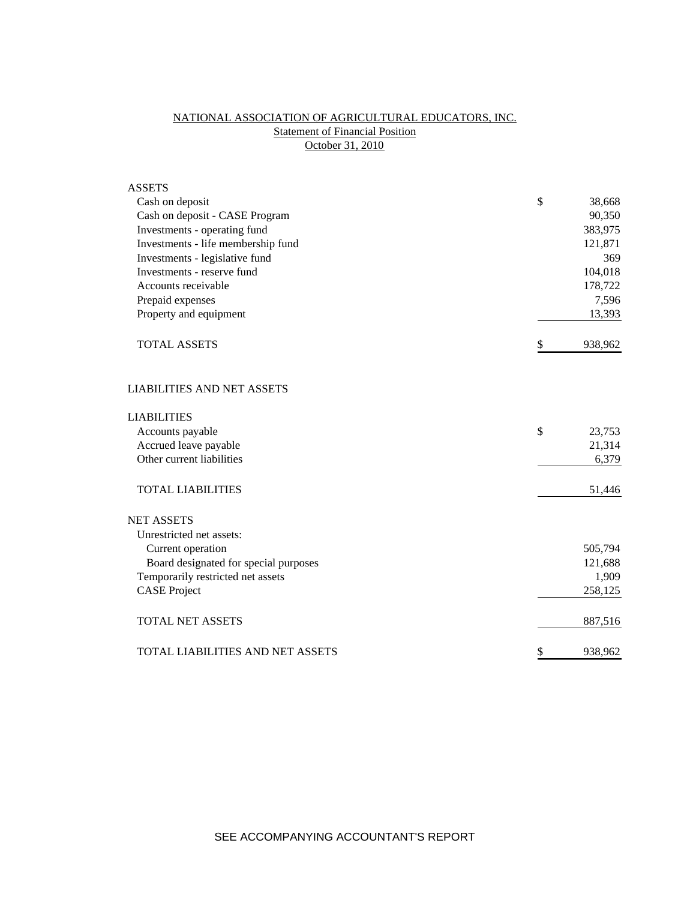## NATIONAL ASSOCIATION OF AGRICULTURAL EDUCATORS, INC. **Statement of Financial Position** October 31, 2010

| <b>ASSETS</b>                         |               |
|---------------------------------------|---------------|
| Cash on deposit                       | \$<br>38,668  |
| Cash on deposit - CASE Program        | 90,350        |
| Investments - operating fund          | 383,975       |
| Investments - life membership fund    | 121,871       |
| Investments - legislative fund        | 369           |
| Investments - reserve fund            | 104,018       |
| Accounts receivable                   | 178,722       |
| Prepaid expenses                      | 7,596         |
| Property and equipment                | 13,393        |
| <b>TOTAL ASSETS</b>                   | \$<br>938,962 |
| <b>LIABILITIES AND NET ASSETS</b>     |               |
| <b>LIABILITIES</b>                    |               |
| Accounts payable                      | \$<br>23,753  |
| Accrued leave payable                 | 21,314        |
| Other current liabilities             | 6,379         |
| <b>TOTAL LIABILITIES</b>              | 51,446        |
| <b>NET ASSETS</b>                     |               |
| Unrestricted net assets:              |               |
| Current operation                     | 505,794       |
| Board designated for special purposes | 121,688       |
| Temporarily restricted net assets     | 1,909         |
| <b>CASE Project</b>                   | 258,125       |
| <b>TOTAL NET ASSETS</b>               | 887,516       |
| TOTAL LIABILITIES AND NET ASSETS      | \$<br>938,962 |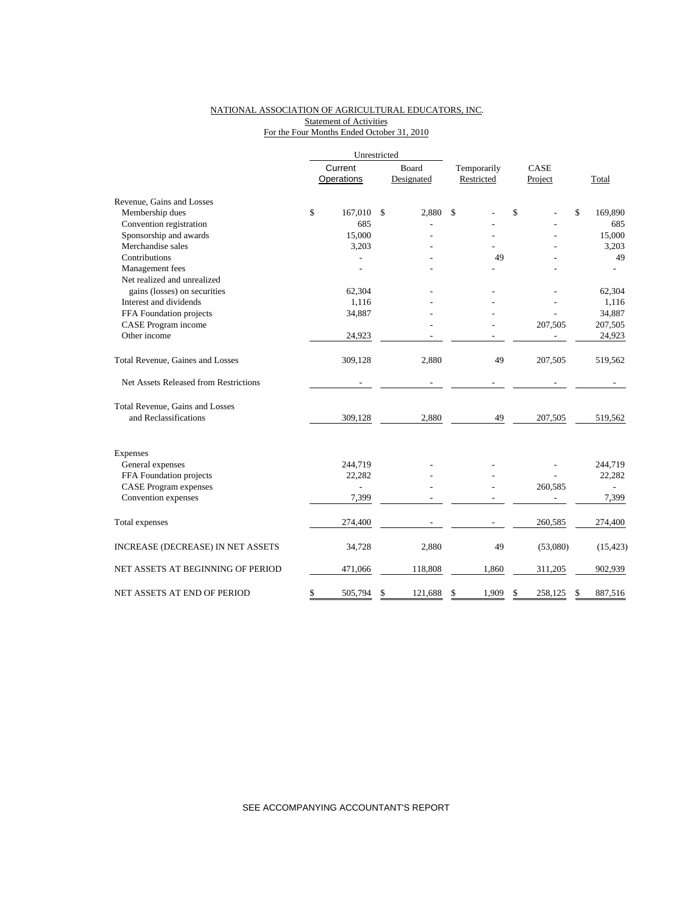### NATIONAL ASSOCIATION OF AGRICULTURAL EDUCATORS, INC. Statement of Activities For the Four Months Ended October 31, 2010

|                                       |                | Unrestricted |            |             |               |               |
|---------------------------------------|----------------|--------------|------------|-------------|---------------|---------------|
|                                       | Current        |              | Board      | Temporarily | CASE          |               |
|                                       | Operations     |              | Designated | Restricted  | Project       | Total         |
| Revenue, Gains and Losses             |                |              |            |             |               |               |
| Membership dues                       | \$<br>167,010  | \$           | 2,880      | \$          | \$            | \$<br>169,890 |
| Convention registration               | 685            |              |            |             |               | 685           |
| Sponsorship and awards                | 15,000         |              |            |             |               | 15,000        |
| Merchandise sales                     | 3,203          |              |            |             |               | 3,203         |
| Contributions                         |                |              |            | 49          |               | 49            |
| Management fees                       |                |              |            |             |               |               |
| Net realized and unrealized           |                |              |            |             |               |               |
| gains (losses) on securities          | 62,304         |              |            |             |               | 62,304        |
| Interest and dividends                | 1,116          |              |            |             |               | 1,116         |
| FFA Foundation projects               | 34,887         |              |            |             |               | 34,887        |
| CASE Program income                   |                |              |            |             | 207,505       | 207,505       |
| Other income                          | 24,923         |              |            |             |               | 24,923        |
| Total Revenue, Gaines and Losses      | 309,128        |              | 2,880      | 49          | 207,505       | 519,562       |
| Net Assets Released from Restrictions |                |              |            |             |               |               |
| Total Revenue, Gains and Losses       |                |              |            |             |               |               |
| and Reclassifications                 | 309,128        |              | 2,880      | 49          | 207,505       | 519,562       |
| <b>Expenses</b>                       |                |              |            |             |               |               |
| General expenses                      | 244,719        |              |            |             |               | 244,719       |
| FFA Foundation projects               | 22,282         |              |            |             |               | 22,282        |
| <b>CASE Program expenses</b>          | $\overline{a}$ |              |            |             | 260,585       |               |
| Convention expenses                   | 7,399          |              |            |             |               | 7,399         |
| Total expenses                        | 274,400        |              |            |             | 260,585       | 274,400       |
| INCREASE (DECREASE) IN NET ASSETS     | 34,728         |              | 2,880      | 49          | (53,080)      | (15, 423)     |
| NET ASSETS AT BEGINNING OF PERIOD     | 471,066        |              | 118,808    | 1,860       | 311,205       | 902,939       |
| NET ASSETS AT END OF PERIOD           | \$<br>505,794  | \$           | 121,688    | \$<br>1,909 | \$<br>258,125 | S<br>887,516  |

SEE ACCOMPANYING ACCOUNTANT'S REPORT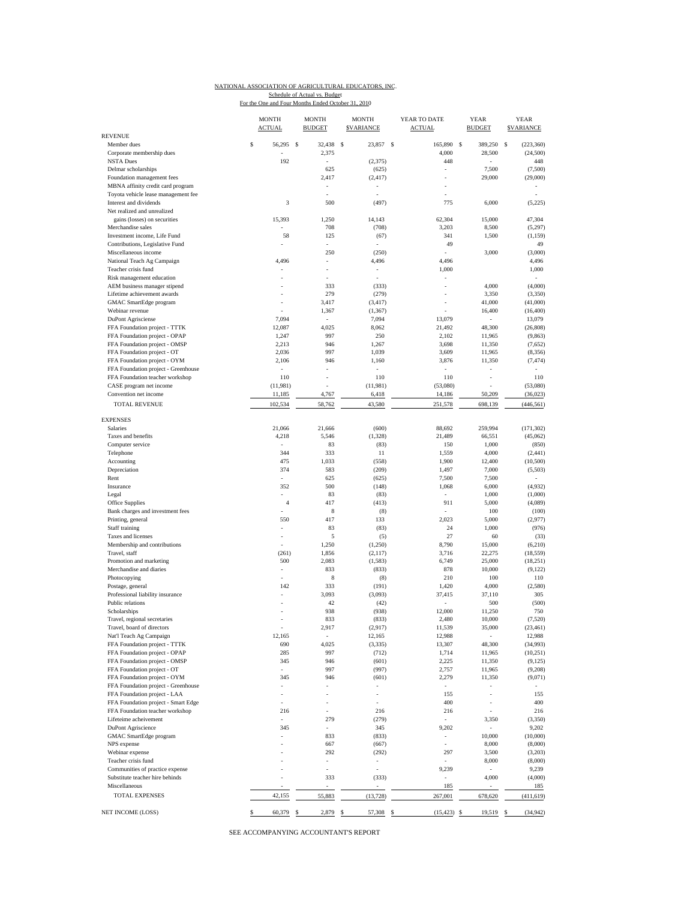# NATIONAL ASSOCIATION OF AGRICULTURAL EDUCATORS, INC. Schedule of Actual vs. Budget

| For the One and Four Months Ended October 31, 2010 |  |  |  |  |  |  |  |  |
|----------------------------------------------------|--|--|--|--|--|--|--|--|
|----------------------------------------------------|--|--|--|--|--|--|--|--|

| <b>REVENUE</b>                                                         | <b>MONTH</b><br><b>ACTUAL</b> | <b>MONTH</b><br><b>BUDGET</b> | <b>MONTH</b><br><b>SVARIANCE</b> | YEAR TO DATE<br><b>ACTUAL</b> | <b>YEAR</b><br><b>BUDGET</b> |   | <b>YEAR</b><br><b>SVARIANCE</b> |
|------------------------------------------------------------------------|-------------------------------|-------------------------------|----------------------------------|-------------------------------|------------------------------|---|---------------------------------|
| Member dues                                                            | \$<br>56,295 \$               | 32,438                        | \$<br>23,857 \$                  | 165,890                       | \$<br>389,250                | s | (223, 360)                      |
| Corporate membership dues                                              |                               | 2,375                         |                                  | 4,000                         | 28,500                       |   | (24,500)                        |
| <b>NSTA Dues</b>                                                       | 192                           | ÷,                            | (2, 375)                         | 448                           | ä,                           |   | 448                             |
| Delmar scholarships                                                    |                               | 625                           | (625)                            | ÷,                            | 7,500                        |   | (7,500)                         |
| Foundation management fees                                             |                               | 2,417                         | (2, 417)                         |                               | 29,000                       |   | (29,000)                        |
| MBNA affinity credit card program                                      |                               |                               |                                  |                               |                              |   |                                 |
| Toyota vehicle lease management fee                                    | 3                             |                               |                                  |                               |                              |   |                                 |
| Interest and dividends<br>Net realized and unrealized                  |                               | 500                           | (497)                            | 775                           | 6,000                        |   | (5,225)                         |
| gains (losses) on securities                                           | 15,393                        | 1,250                         | 14,143                           | 62,304                        | 15,000                       |   | 47,304                          |
| Merchandise sales                                                      |                               | 708                           | (708)                            | 3,203                         | 8,500                        |   | (5,297)                         |
| Investment income, Life Fund                                           | 58                            | 125                           | (67)                             | 341                           | 1,500                        |   | (1, 159)                        |
| Contributions, Legislative Fund                                        |                               | ÷,                            |                                  | 49                            |                              |   | 49                              |
| Miscellaneous income                                                   |                               | 250                           | (250)                            |                               | 3,000                        |   | (3,000)                         |
| National Teach Ag Campaign                                             | 4,496                         |                               | 4,496                            | 4,496                         |                              |   | 4,496                           |
| Teacher crisis fund<br>Risk management education                       |                               | ÷,                            | $\overline{\phantom{a}}$         | 1,000                         |                              |   | 1,000                           |
| AEM business manager stipend                                           |                               | 333                           | (333)                            | ÷,                            | 4,000                        |   | (4,000)                         |
| Lifetime achievement awards                                            |                               | 279                           | (279)                            |                               | 3,350                        |   | (3, 350)                        |
| GMAC SmartEdge program                                                 | i.                            | 3,417                         | (3, 417)                         | ÷,                            | 41,000                       |   | (41,000)                        |
| Webinar revenue                                                        |                               | 1,367                         | (1, 367)                         |                               | 16,400                       |   | (16, 400)                       |
| DuPont Agrisciense                                                     | 7,094                         |                               | 7,094                            | 13,079                        | ä,                           |   | 13,079                          |
| FFA Foundation project - TTTK                                          | 12,087                        | 4,025                         | 8,062                            | 21,492                        | 48,300                       |   | (26, 808)                       |
| FFA Foundation project - OPAP<br>FFA Foundation project - OMSP         | 1,247<br>2,213                | 997<br>946                    | 250<br>1,267                     | 2,102<br>3,698                | 11,965<br>11,350             |   | (9, 863)<br>(7,652)             |
| FFA Foundation project - OT                                            | 2,036                         | 997                           | 1,039                            | 3,609                         | 11,965                       |   | (8,356)                         |
| FFA Foundation project - OYM                                           | 2,106                         | 946                           | 1,160                            | 3,876                         | 11,350                       |   | (7, 474)                        |
| FFA Foundation project - Greenhouse                                    |                               |                               |                                  |                               | ×,                           |   |                                 |
| FFA Foundation teacher workshop                                        | 110                           | ٠                             | 110                              | 110                           | ÷,                           |   | 110                             |
| CASE program net income                                                | (11,981)                      |                               | (11,981)                         | (53,080)                      |                              |   | (53,080)                        |
| Convention net income                                                  | 11,185                        | 4,767                         | 6,418                            | 14,186                        | 50,209                       |   | (36,023)                        |
| <b>TOTAL REVENUE</b>                                                   | 102,534                       | 58,762                        | 43,580                           | 251,578                       | 698,139                      |   | (446, 561)                      |
|                                                                        |                               |                               |                                  |                               |                              |   |                                 |
| <b>EXPENSES</b><br>Salaries                                            | 21.066                        | 21,666                        | (600)                            | 88,692                        | 259,994                      |   | (171, 302)                      |
| Taxes and benefits                                                     | 4,218                         | 5,546                         | (1, 328)                         | 21,489                        | 66,551                       |   | (45,062)                        |
| Computer service                                                       |                               | 83                            | (83)                             | 150                           | 1,000                        |   | (850)                           |
| Telephone                                                              | 344                           | 333                           | 11                               | 1,559                         | 4,000                        |   | (2, 441)                        |
| Accounting                                                             | 475                           | 1,033                         | (558)                            | 1,900                         | 12,400                       |   | (10,500)                        |
| Depreciation                                                           | 374                           | 583                           | (209)                            | 1,497                         | 7,000                        |   | (5,503)                         |
| Rent                                                                   |                               | 625                           | (625)                            | 7,500                         | 7,500                        |   |                                 |
| Insurance<br>Legal                                                     | 352<br>÷,                     | 500<br>83                     | (148)                            | 1,068<br>×,                   | 6,000<br>1,000               |   | (4,932)                         |
| Office Supplies                                                        | $\overline{4}$                | 417                           | (83)<br>(413)                    | 911                           | 5,000                        |   | (1,000)<br>(4,089)              |
| Bank charges and investment fees                                       |                               | 8                             | (8)                              | ä,                            | 100                          |   | (100)                           |
| Printing, general                                                      | 550                           | 417                           | 133                              | 2,023                         | 5,000                        |   | (2,977)                         |
| Staff training                                                         | ä,                            | 83                            | (83)                             | 24                            | 1,000                        |   | (976)                           |
| Taxes and licenses                                                     | ä,                            | 5                             | (5)                              | 27                            | 60                           |   | (33)                            |
| Membership and contributions                                           | ä,                            | 1,250                         | (1,250)                          | 8,790                         | 15,000                       |   | (6,210)                         |
| Travel, staff                                                          | (261)<br>500                  | 1,856                         | (2,117)                          | 3,716<br>6,749                | 22,275<br>25,000             |   | (18, 559)                       |
| Promotion and marketing<br>Merchandise and diaries                     | ÷,                            | 2,083<br>833                  | (1, 583)<br>(833)                | 878                           | 10,000                       |   | (18,251)<br>(9,122)             |
| Photocopying                                                           |                               | 8                             | (8)                              | 210                           | 100                          |   | 110                             |
| Postage, general                                                       | 142                           | 333                           | (191)                            | 1,420                         | 4,000                        |   | (2,580)                         |
| Professional liability insurance                                       |                               | 3,093                         | (3,093)                          | 37,415                        | 37,110                       |   | 305                             |
| Public relations                                                       |                               | 42                            | (42)                             |                               | 500                          |   | (500)                           |
| Scholarships                                                           |                               | 938                           | (938)                            | 12,000                        | 11,250                       |   | 750                             |
| Travel, regional secretaries                                           |                               | 833                           | (833)                            | 2,480                         | 10,000                       |   | (7, 520)                        |
| Travel, board of directors<br>Nat'l Teach Ag Campaign                  | 12,165                        | 2,917                         | (2, 917)<br>12,165               | 11,539<br>12,988              | 35,000                       |   | (23, 461)<br>12,988             |
| FFA Foundation project - TTTK                                          | 690                           | 4,025                         | (3, 335)                         | 13,307                        | 48,300                       |   | (34,993)                        |
| FFA Foundation project - OPAP                                          | 285                           | 997                           | (712)                            | 1,714                         | 11,965                       |   | (10,251)                        |
| FFA Foundation project - OMSP                                          | 345                           | 946                           | (601)                            | 2,225                         | 11,350                       |   | (9,125)                         |
| FFA Foundation project - OT                                            |                               | 997                           | (997)                            | 2,757                         | 11,965                       |   | (9,208)                         |
| FFA Foundation project - OYM                                           | 345                           | 946                           | (601)                            | 2,279                         | 11,350                       |   | (9,071)                         |
| FFA Foundation project - Greenhouse                                    |                               |                               |                                  | $\mathcal{L}_{\mathcal{A}}$   |                              |   |                                 |
| FFA Foundation project - LAA                                           | $\overline{\phantom{m}}$      |                               | $\overline{\phantom{a}}$         | 155                           | ٠                            |   | 155                             |
| FFA Foundation project - Smart Edge<br>FFA Foundation teacher workshop | 216                           |                               | 216                              | 400<br>216                    | ×,                           |   | 400<br>216                      |
| Lifeteime acheivement                                                  | ÷,                            | 279                           | (279)                            |                               | 3,350                        |   | (3,350)                         |
| DuPont Agriscience                                                     | 345                           |                               | 345                              | 9,202                         | $\overline{\phantom{a}}$     |   | 9,202                           |
| GMAC SmartEdge program                                                 |                               | 833                           | (833)                            | $\overline{\phantom{a}}$      | 10,000                       |   | (10,000)                        |
| NPS expense                                                            |                               | 667                           | (667)                            |                               | 8,000                        |   | (8,000)                         |
| Webinar expense                                                        |                               | 292                           | (292)                            | 297                           | 3,500                        |   | (3,203)                         |
| Teacher crisis fund                                                    |                               | ÷,                            | $\overline{\phantom{a}}$         |                               | 8,000                        |   | (8,000)                         |
| Communities of practice expense<br>Substitute teacher hire behinds     |                               | 333                           | $\frac{1}{2}$<br>(333)           | 9,239                         | 4,000                        |   | 9,239<br>(4,000)                |
| Miscellaneous                                                          |                               |                               |                                  | 185                           |                              |   | 185                             |
| <b>TOTAL EXPENSES</b>                                                  | 42,155                        | 55,883                        | (13, 728)                        | 267,001                       | 678,620                      |   | (411, 619)                      |
|                                                                        |                               |                               |                                  |                               |                              |   |                                 |
| NET INCOME (LOSS)                                                      | \$<br>60,379 \$               | 2,879 \$                      | 57,308 \$                        | $(15, 423)$ \$                | 19,519 \$                    |   | (34, 942)                       |

SEE ACCOMPANYING ACCOUNTANT'S REPORT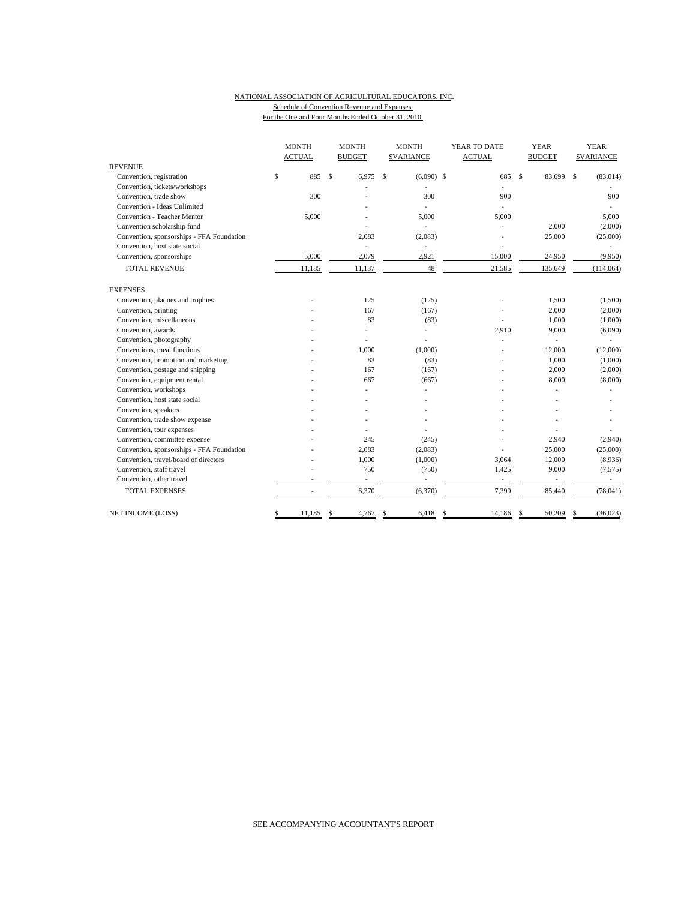### NATIONAL ASSOCIATION OF AGRICULTURAL EDUCATORS, INC. Schedule of Convention Revenue and Expenses

For the One and Four Months Ended October 31, 2010

|                                           | <b>MONTH</b> |               | <b>MONTH</b>             |    | <b>MONTH</b>     |    | YEAR TO DATE  |              | <b>YEAR</b>   | <b>YEAR</b> |                   |  |
|-------------------------------------------|--------------|---------------|--------------------------|----|------------------|----|---------------|--------------|---------------|-------------|-------------------|--|
|                                           |              | <b>ACTUAL</b> | <b>BUDGET</b>            |    | <b>SVARIANCE</b> |    | <b>ACTUAL</b> |              | <b>BUDGET</b> |             | <b>\$VARIANCE</b> |  |
| <b>REVENUE</b>                            |              |               |                          |    |                  |    |               |              |               |             |                   |  |
| Convention, registration                  | \$           | 885           | \$<br>6,975              | \$ | $(6,090)$ \$     |    | 685           | $\mathbf{s}$ | 83,699        | \$          | (83, 014)         |  |
| Convention, tickets/workshops             |              |               |                          |    |                  |    |               |              |               |             |                   |  |
| Convention, trade show                    |              | 300           |                          |    | 300              |    | 900           |              |               |             | 900               |  |
| Convention - Ideas Unlimited              |              |               |                          |    |                  |    |               |              |               |             |                   |  |
| <b>Convention - Teacher Mentor</b>        |              | 5.000         |                          |    | 5.000            |    | 5,000         |              |               |             | 5,000             |  |
| Convention scholarship fund               |              |               |                          |    |                  |    |               |              | 2,000         |             | (2,000)           |  |
| Convention, sponsorships - FFA Foundation |              |               | 2,083                    |    | (2,083)          |    |               |              | 25,000        |             | (25,000)          |  |
| Convention, host state social             |              |               | ÷.                       |    |                  |    |               |              |               |             |                   |  |
| Convention, sponsorships                  |              | 5,000         | 2,079                    |    | 2,921            |    | 15,000        |              | 24,950        |             | (9,950)           |  |
| <b>TOTAL REVENUE</b>                      |              | 11,185        | 11,137                   |    | 48               |    | 21,585        |              | 135,649       |             | (114, 064)        |  |
| <b>EXPENSES</b>                           |              |               |                          |    |                  |    |               |              |               |             |                   |  |
| Convention, plaques and trophies          |              |               | 125                      |    | (125)            |    |               |              | 1,500         |             | (1,500)           |  |
| Convention, printing                      |              |               | 167                      |    | (167)            |    |               |              | 2,000         |             | (2,000)           |  |
| Convention, miscellaneous                 |              |               | 83                       |    | (83)             |    |               |              | 1,000         |             | (1,000)           |  |
| Convention, awards                        |              |               |                          |    |                  |    | 2,910         |              | 9,000         |             | (6,090)           |  |
| Convention, photography                   |              |               |                          |    |                  |    | ä,            |              |               |             |                   |  |
| Conventions, meal functions               |              |               | 1,000                    |    | (1,000)          |    |               |              | 12,000        |             | (12,000)          |  |
| Convention, promotion and marketing       |              |               | 83                       |    | (83)             |    |               |              | 1,000         |             | (1,000)           |  |
| Convention, postage and shipping          |              |               | 167                      |    | (167)            |    |               |              | 2,000         |             | (2,000)           |  |
| Convention, equipment rental              |              |               | 667                      |    | (667)            |    |               |              | 8,000         |             | (8,000)           |  |
| Convention, workshops                     |              |               |                          |    |                  |    |               |              |               |             |                   |  |
| Convention, host state social             |              |               |                          |    |                  |    |               |              |               |             |                   |  |
| Convention, speakers                      |              |               |                          |    |                  |    |               |              |               |             |                   |  |
| Convention, trade show expense            |              |               |                          |    |                  |    |               |              |               |             |                   |  |
| Convention, tour expenses                 |              |               |                          |    |                  |    |               |              |               |             |                   |  |
| Convention, committee expense             |              |               | 245                      |    | (245)            |    |               |              | 2,940         |             | (2,940)           |  |
| Convention, sponsorships - FFA Foundation |              |               | 2,083                    |    | (2,083)          |    |               |              | 25,000        |             | (25,000)          |  |
| Convention, travel/board of directors     |              |               | 1,000                    |    | (1,000)          |    | 3,064         |              | 12,000        |             | (8,936)           |  |
| Convention, staff travel                  |              |               | 750                      |    | (750)            |    | 1,425         |              | 9,000         |             | (7, 575)          |  |
| Convention, other travel                  |              |               | $\overline{\phantom{a}}$ |    | ä,               |    | $\sim$        |              | ä,            |             | $\sim$            |  |
| <b>TOTAL EXPENSES</b>                     |              |               | 6,370                    |    | (6,370)          |    | 7,399         |              | 85,440        |             | (78,041)          |  |
| NET INCOME (LOSS)                         | \$           | 11,185        | \$<br>4,767              | S  | 6,418            | \$ | 14,186        | $\mathbf{s}$ | 50,209        | \$          | (36,023)          |  |